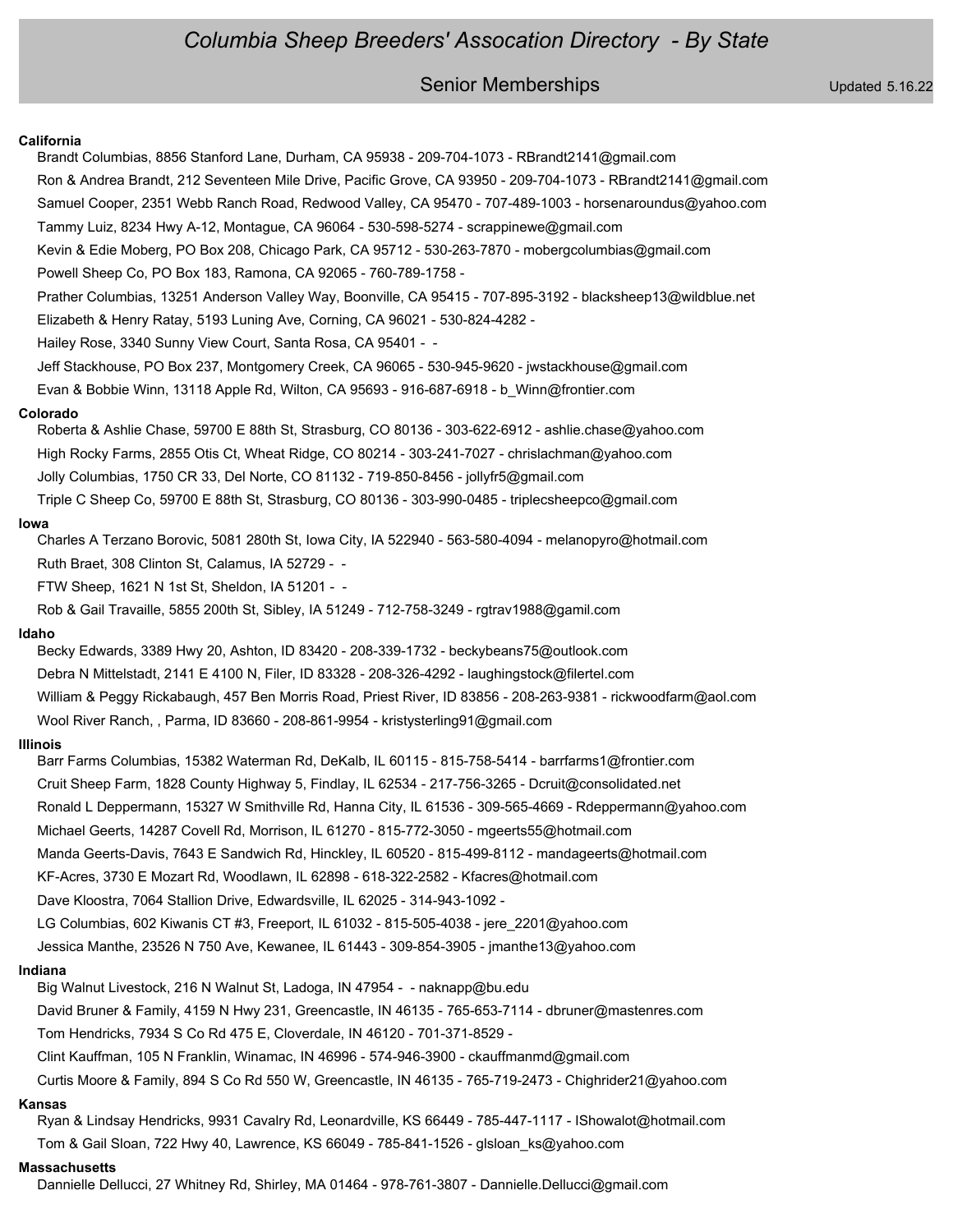## Senior Memberships Updated 5.16.22

#### **California**

Brandt Columbias, 8856 Stanford Lane, Durham, CA 95938 - 209-704-1073 - RBrandt2141@gmail.com Ron & Andrea Brandt, 212 Seventeen Mile Drive, Pacific Grove, CA 93950 - 209-704-1073 - RBrandt2141@gmail.com Samuel Cooper, 2351 Webb Ranch Road, Redwood Valley, CA 95470 - 707-489-1003 - horsenaroundus@yahoo.com Tammy Luiz, 8234 Hwy A-12, Montague, CA 96064 - 530-598-5274 - scrappinewe@gmail.com Kevin & Edie Moberg, PO Box 208, Chicago Park, CA 95712 - 530-263-7870 - mobergcolumbias@gmail.com Powell Sheep Co, PO Box 183, Ramona, CA 92065 - 760-789-1758 - Prather Columbias, 13251 Anderson Valley Way, Boonville, CA 95415 - 707-895-3192 - blacksheep13@wildblue.net Elizabeth & Henry Ratay, 5193 Luning Ave, Corning, CA 96021 - 530-824-4282 - Hailey Rose, 3340 Sunny View Court, Santa Rosa, CA 95401 - - Jeff Stackhouse, PO Box 237, Montgomery Creek, CA 96065 - 530-945-9620 - jwstackhouse@gmail.com Evan & Bobbie Winn, 13118 Apple Rd, Wilton, CA 95693 - 916-687-6918 - b\_Winn@frontier.com **Colorado** Roberta & Ashlie Chase, 59700 E 88th St, Strasburg, CO 80136 - 303-622-6912 - ashlie.chase@yahoo.com High Rocky Farms, 2855 Otis Ct, Wheat Ridge, CO 80214 - 303-241-7027 - chrislachman@yahoo.com Jolly Columbias, 1750 CR 33, Del Norte, CO 81132 - 719-850-8456 - jollyfr5@gmail.com Triple C Sheep Co, 59700 E 88th St, Strasburg, CO 80136 - 303-990-0485 - triplecsheepco@gmail.com **Iowa** Charles A Terzano Borovic, 5081 280th St, Iowa City, IA 522940 - 563-580-4094 - melanopyro@hotmail.com Ruth Braet, 308 Clinton St, Calamus, IA 52729 - - FTW Sheep, 1621 N 1st St, Sheldon, IA 51201 - - Rob & Gail Travaille, 5855 200th St, Sibley, IA 51249 - 712-758-3249 - rgtrav1988@gamil.com **Idaho** Becky Edwards, 3389 Hwy 20, Ashton, ID 83420 - 208-339-1732 - beckybeans75@outlook.com Debra N Mittelstadt, 2141 E 4100 N, Filer, ID 83328 - 208-326-4292 - laughingstock@filertel.com William & Peggy Rickabaugh, 457 Ben Morris Road, Priest River, ID 83856 - 208-263-9381 - rickwoodfarm@aol.com Wool River Ranch, , Parma, ID 83660 - 208-861-9954 - kristysterling91@gmail.com **Illinois** Barr Farms Columbias, 15382 Waterman Rd, DeKalb, IL 60115 - 815-758-5414 - barrfarms1@frontier.com Cruit Sheep Farm, 1828 County Highway 5, Findlay, IL 62534 - 217-756-3265 - Dcruit@consolidated.net Ronald L Deppermann, 15327 W Smithville Rd, Hanna City, IL 61536 - 309-565-4669 - Rdeppermann@yahoo.com Michael Geerts, 14287 Covell Rd, Morrison, IL 61270 - 815-772-3050 - mgeerts55@hotmail.com Manda Geerts-Davis, 7643 E Sandwich Rd, Hinckley, IL 60520 - 815-499-8112 - mandageerts@hotmail.com KF-Acres, 3730 E Mozart Rd, Woodlawn, IL 62898 - 618-322-2582 - Kfacres@hotmail.com Dave Kloostra, 7064 Stallion Drive, Edwardsville, IL 62025 - 314-943-1092 - LG Columbias, 602 Kiwanis CT #3, Freeport, IL 61032 - 815-505-4038 - jere\_2201@yahoo.com Jessica Manthe, 23526 N 750 Ave, Kewanee, IL 61443 - 309-854-3905 - jmanthe13@yahoo.com **Indiana** Big Walnut Livestock, 216 N Walnut St, Ladoga, IN 47954 - - naknapp@bu.edu David Bruner & Family, 4159 N Hwy 231, Greencastle, IN 46135 - 765-653-7114 - dbruner@mastenres.com Tom Hendricks, 7934 S Co Rd 475 E, Cloverdale, IN 46120 - 701-371-8529 - Clint Kauffman, 105 N Franklin, Winamac, IN 46996 - 574-946-3900 - ckauffmanmd@gmail.com Curtis Moore & Family, 894 S Co Rd 550 W, Greencastle, IN 46135 - 765-719-2473 - Chighrider21@yahoo.com **Kansas** Ryan & Lindsay Hendricks, 9931 Cavalry Rd, Leonardville, KS 66449 - 785-447-1117 - IShowalot@hotmail.com Tom & Gail Sloan, 722 Hwy 40, Lawrence, KS 66049 - 785-841-1526 - glsloan\_ks@yahoo.com **Massachusetts**

Dannielle Dellucci, 27 Whitney Rd, Shirley, MA 01464 - 978-761-3807 - Dannielle.Dellucci@gmail.com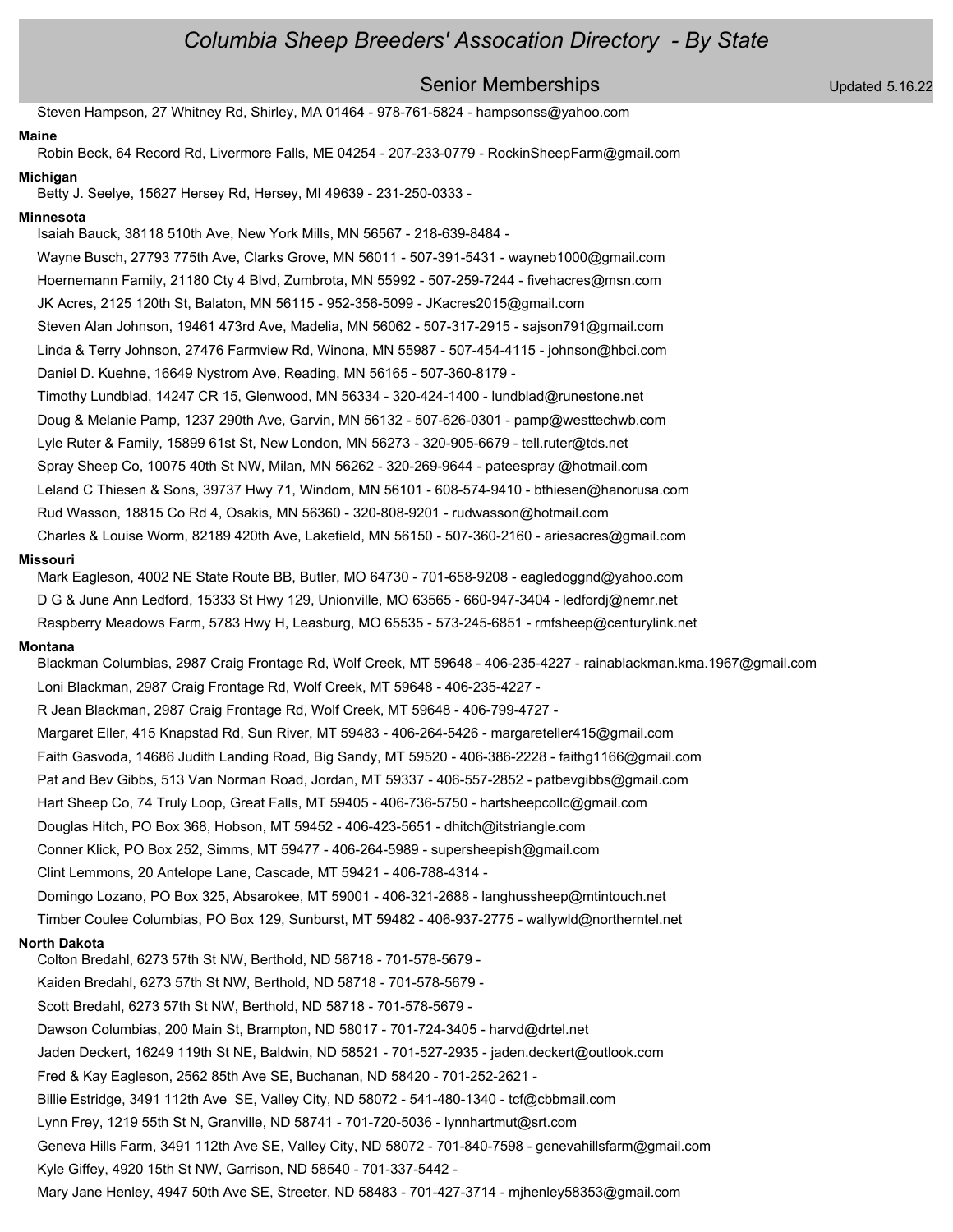## Senior Memberships Updated 5.16.22

Steven Hampson, 27 Whitney Rd, Shirley, MA 01464 - 978-761-5824 - hampsonss@yahoo.com

#### **Maine**

Robin Beck, 64 Record Rd, Livermore Falls, ME 04254 - 207-233-0779 - RockinSheepFarm@gmail.com

### **Michigan**

Betty J. Seelye, 15627 Hersey Rd, Hersey, MI 49639 - 231-250-0333 -

#### **Minnesota**

Isaiah Bauck, 38118 510th Ave, New York Mills, MN 56567 - 218-639-8484 -

Wayne Busch, 27793 775th Ave, Clarks Grove, MN 56011 - 507-391-5431 - wayneb1000@gmail.com Hoernemann Family, 21180 Cty 4 Blvd, Zumbrota, MN 55992 - 507-259-7244 - fivehacres@msn.com JK Acres, 2125 120th St, Balaton, MN 56115 - 952-356-5099 - JKacres2015@gmail.com Steven Alan Johnson, 19461 473rd Ave, Madelia, MN 56062 - 507-317-2915 - sajson791@gmail.com Linda & Terry Johnson, 27476 Farmview Rd, Winona, MN 55987 - 507-454-4115 - johnson@hbci.com Daniel D. Kuehne, 16649 Nystrom Ave, Reading, MN 56165 - 507-360-8179 - Timothy Lundblad, 14247 CR 15, Glenwood, MN 56334 - 320-424-1400 - lundblad@runestone.net Doug & Melanie Pamp, 1237 290th Ave, Garvin, MN 56132 - 507-626-0301 - pamp@westtechwb.com Lyle Ruter & Family, 15899 61st St, New London, MN 56273 - 320-905-6679 - tell.ruter@tds.net Spray Sheep Co, 10075 40th St NW, Milan, MN 56262 - 320-269-9644 - pateespray @hotmail.com Leland C Thiesen & Sons, 39737 Hwy 71, Windom, MN 56101 - 608-574-9410 - bthiesen@hanorusa.com

Rud Wasson, 18815 Co Rd 4, Osakis, MN 56360 - 320-808-9201 - rudwasson@hotmail.com

Charles & Louise Worm, 82189 420th Ave, Lakefield, MN 56150 - 507-360-2160 - ariesacres@gmail.com

#### **Missouri**

Mark Eagleson, 4002 NE State Route BB, Butler, MO 64730 - 701-658-9208 - eagledoggnd@yahoo.com D G & June Ann Ledford, 15333 St Hwy 129, Unionville, MO 63565 - 660-947-3404 - ledfordj@nemr.net Raspberry Meadows Farm, 5783 Hwy H, Leasburg, MO 65535 - 573-245-6851 - rmfsheep@centurylink.net

#### **Montana**

Blackman Columbias, 2987 Craig Frontage Rd, Wolf Creek, MT 59648 - 406-235-4227 - rainablackman.kma.1967@gmail.com Loni Blackman, 2987 Craig Frontage Rd, Wolf Creek, MT 59648 - 406-235-4227 -

R Jean Blackman, 2987 Craig Frontage Rd, Wolf Creek, MT 59648 - 406-799-4727 -

Margaret Eller, 415 Knapstad Rd, Sun River, MT 59483 - 406-264-5426 - margareteller415@gmail.com Faith Gasvoda, 14686 Judith Landing Road, Big Sandy, MT 59520 - 406-386-2228 - faithg1166@gmail.com Pat and Bev Gibbs, 513 Van Norman Road, Jordan, MT 59337 - 406-557-2852 - patbevgibbs@gmail.com Hart Sheep Co, 74 Truly Loop, Great Falls, MT 59405 - 406-736-5750 - hartsheepcollc@gmail.com Douglas Hitch, PO Box 368, Hobson, MT 59452 - 406-423-5651 - dhitch@itstriangle.com Conner Klick, PO Box 252, Simms, MT 59477 - 406-264-5989 - supersheepish@gmail.com Clint Lemmons, 20 Antelope Lane, Cascade, MT 59421 - 406-788-4314 - Domingo Lozano, PO Box 325, Absarokee, MT 59001 - 406-321-2688 - langhussheep@mtintouch.net Timber Coulee Columbias, PO Box 129, Sunburst, MT 59482 - 406-937-2775 - wallywld@northerntel.net

#### **North Dakota**

Colton Bredahl, 6273 57th St NW, Berthold, ND 58718 - 701-578-5679 - Kaiden Bredahl, 6273 57th St NW, Berthold, ND 58718 - 701-578-5679 - Scott Bredahl, 6273 57th St NW, Berthold, ND 58718 - 701-578-5679 - Dawson Columbias, 200 Main St, Brampton, ND 58017 - 701-724-3405 - harvd@drtel.net Jaden Deckert, 16249 119th St NE, Baldwin, ND 58521 - 701-527-2935 - jaden.deckert@outlook.com Fred & Kay Eagleson, 2562 85th Ave SE, Buchanan, ND 58420 - 701-252-2621 - Billie Estridge, 3491 112th Ave SE, Valley City, ND 58072 - 541-480-1340 - tcf@cbbmail.com Lynn Frey, 1219 55th St N, Granville, ND 58741 - 701-720-5036 - lynnhartmut@srt.com Geneva Hills Farm, 3491 112th Ave SE, Valley City, ND 58072 - 701-840-7598 - genevahillsfarm@gmail.com Kyle Giffey, 4920 15th St NW, Garrison, ND 58540 - 701-337-5442 -

Mary Jane Henley, 4947 50th Ave SE, Streeter, ND 58483 - 701-427-3714 - mjhenley58353@gmail.com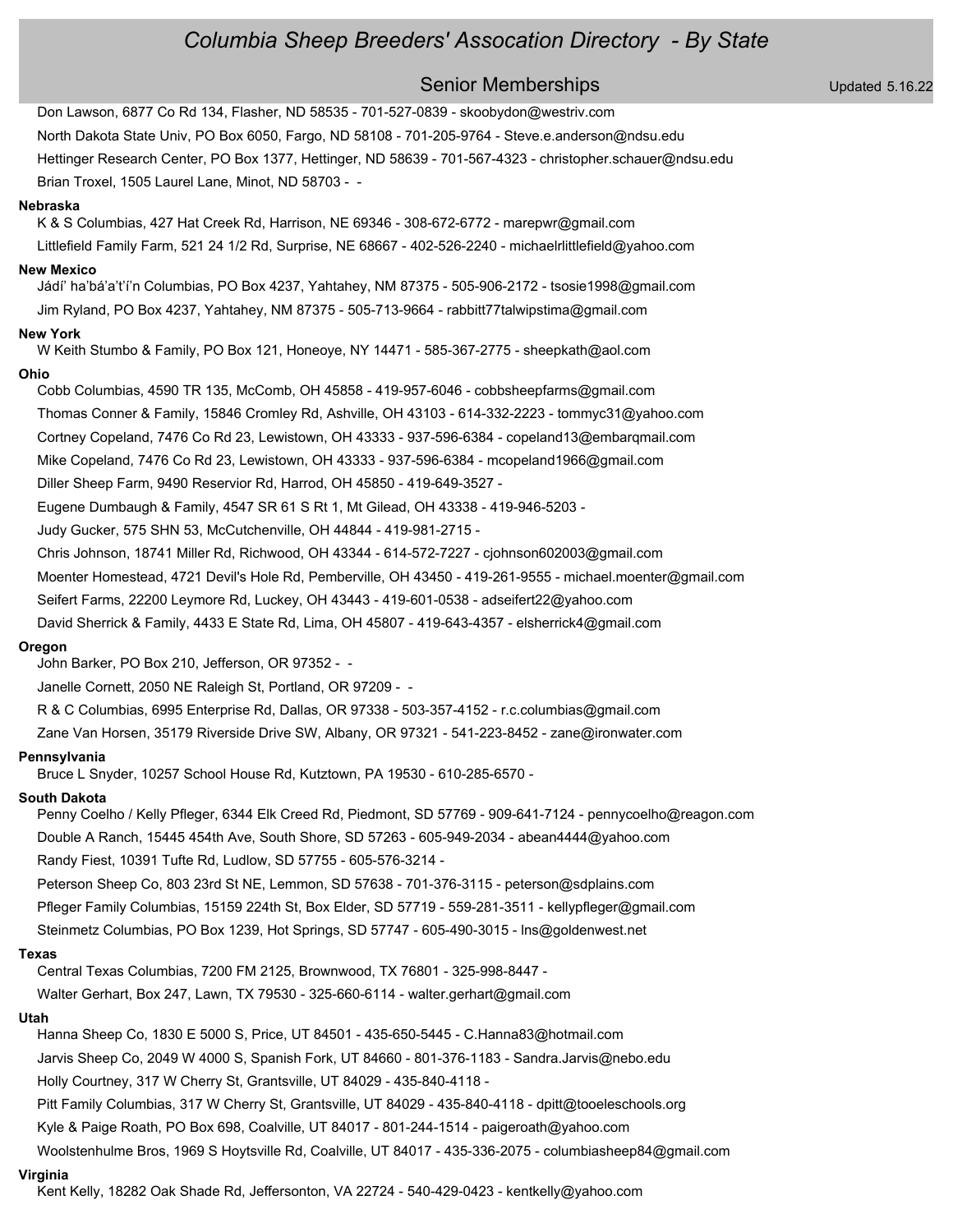Senior Memberships Updated 5.16.22 Don Lawson, 6877 Co Rd 134, Flasher, ND 58535 - 701-527-0839 - skoobydon@westriv.com North Dakota State Univ, PO Box 6050, Fargo, ND 58108 - 701-205-9764 - Steve.e.anderson@ndsu.edu Hettinger Research Center, PO Box 1377, Hettinger, ND 58639 - 701-567-4323 - christopher.schauer@ndsu.edu Brian Troxel, 1505 Laurel Lane, Minot, ND 58703 - - **Nebraska** K & S Columbias, 427 Hat Creek Rd, Harrison, NE 69346 - 308-672-6772 - marepwr@gmail.com Littlefield Family Farm, 521 24 1/2 Rd, Surprise, NE 68667 - 402-526-2240 - michaelrlittlefield@yahoo.com **New Mexico** Jádí' ha'bá'a't'í'n Columbias, PO Box 4237, Yahtahey, NM 87375 - 505-906-2172 - tsosie1998@gmail.com Jim Ryland, PO Box 4237, Yahtahey, NM 87375 - 505-713-9664 - rabbitt77talwipstima@gmail.com **New York** W Keith Stumbo & Family, PO Box 121, Honeoye, NY 14471 - 585-367-2775 - sheepkath@aol.com **Ohio** Cobb Columbias, 4590 TR 135, McComb, OH 45858 - 419-957-6046 - cobbsheepfarms@gmail.com Thomas Conner & Family, 15846 Cromley Rd, Ashville, OH 43103 - 614-332-2223 - tommyc31@yahoo.com Cortney Copeland, 7476 Co Rd 23, Lewistown, OH 43333 - 937-596-6384 - copeland13@embarqmail.com Mike Copeland, 7476 Co Rd 23, Lewistown, OH 43333 - 937-596-6384 - mcopeland1966@gmail.com Diller Sheep Farm, 9490 Reservior Rd, Harrod, OH 45850 - 419-649-3527 - Eugene Dumbaugh & Family, 4547 SR 61 S Rt 1, Mt Gilead, OH 43338 - 419-946-5203 - Judy Gucker, 575 SHN 53, McCutchenville, OH 44844 - 419-981-2715 - Chris Johnson, 18741 Miller Rd, Richwood, OH 43344 - 614-572-7227 - cjohnson602003@gmail.com Moenter Homestead, 4721 Devil's Hole Rd, Pemberville, OH 43450 - 419-261-9555 - michael.moenter@gmail.com Seifert Farms, 22200 Leymore Rd, Luckey, OH 43443 - 419-601-0538 - adseifert22@yahoo.com David Sherrick & Family, 4433 E State Rd, Lima, OH 45807 - 419-643-4357 - elsherrick4@gmail.com **Oregon** John Barker, PO Box 210, Jefferson, OR 97352 - - Janelle Cornett, 2050 NE Raleigh St, Portland, OR 97209 - - R & C Columbias, 6995 Enterprise Rd, Dallas, OR 97338 - 503-357-4152 - r.c.columbias@gmail.com Zane Van Horsen, 35179 Riverside Drive SW, Albany, OR 97321 - 541-223-8452 - zane@ironwater.com **Pennsylvania** Bruce L Snyder, 10257 School House Rd, Kutztown, PA 19530 - 610-285-6570 - **South Dakota** Penny Coelho / Kelly Pfleger, 6344 Elk Creed Rd, Piedmont, SD 57769 - 909-641-7124 - pennycoelho@reagon.com Double A Ranch, 15445 454th Ave, South Shore, SD 57263 - 605-949-2034 - abean4444@yahoo.com Randy Fiest, 10391 Tufte Rd, Ludlow, SD 57755 - 605-576-3214 - Peterson Sheep Co, 803 23rd St NE, Lemmon, SD 57638 - 701-376-3115 - peterson@sdplains.com Pfleger Family Columbias, 15159 224th St, Box Elder, SD 57719 - 559-281-3511 - kellypfleger@gmail.com Steinmetz Columbias, PO Box 1239, Hot Springs, SD 57747 - 605-490-3015 - lns@goldenwest.net **Texas** Central Texas Columbias, 7200 FM 2125, Brownwood, TX 76801 - 325-998-8447 - Walter Gerhart, Box 247, Lawn, TX 79530 - 325-660-6114 - walter.gerhart@gmail.com **Utah** Hanna Sheep Co, 1830 E 5000 S, Price, UT 84501 - 435-650-5445 - C.Hanna83@hotmail.com Jarvis Sheep Co, 2049 W 4000 S, Spanish Fork, UT 84660 - 801-376-1183 - Sandra.Jarvis@nebo.edu Holly Courtney, 317 W Cherry St, Grantsville, UT 84029 - 435-840-4118 - Pitt Family Columbias, 317 W Cherry St, Grantsville, UT 84029 - 435-840-4118 - dpitt@tooeleschools.org Kyle & Paige Roath, PO Box 698, Coalville, UT 84017 - 801-244-1514 - paigeroath@yahoo.com Woolstenhulme Bros, 1969 S Hoytsville Rd, Coalville, UT 84017 - 435-336-2075 - columbiasheep84@gmail.com

#### **Virginia**

Kent Kelly, 18282 Oak Shade Rd, Jeffersonton, VA 22724 - 540-429-0423 - kentkelly@yahoo.com